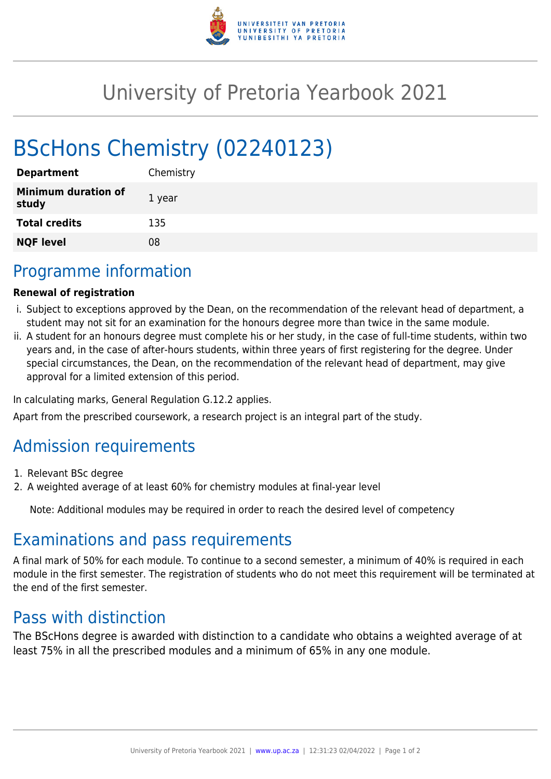

## University of Pretoria Yearbook 2021

# BScHons Chemistry (02240123)

| <b>Department</b>                   | Chemistry |
|-------------------------------------|-----------|
| <b>Minimum duration of</b><br>study | 1 year    |
| <b>Total credits</b>                | 135       |
| <b>NQF level</b>                    | 08        |

### Programme information

#### **Renewal of registration**

- i. Subject to exceptions approved by the Dean, on the recommendation of the relevant head of department, a student may not sit for an examination for the honours degree more than twice in the same module.
- ii. A student for an honours degree must complete his or her study, in the case of full-time students, within two years and, in the case of after-hours students, within three years of first registering for the degree. Under special circumstances, the Dean, on the recommendation of the relevant head of department, may give approval for a limited extension of this period.

In calculating marks, General Regulation G.12.2 applies.

Apart from the prescribed coursework, a research project is an integral part of the study.

### Admission requirements

- 1. Relevant BSc degree
- 2. A weighted average of at least 60% for chemistry modules at final-year level

Note: Additional modules may be required in order to reach the desired level of competency

### Examinations and pass requirements

A final mark of 50% for each module. To continue to a second semester, a minimum of 40% is required in each module in the first semester. The registration of students who do not meet this requirement will be terminated at the end of the first semester.

#### Pass with distinction

The BScHons degree is awarded with distinction to a candidate who obtains a weighted average of at least 75% in all the prescribed modules and a minimum of 65% in any one module.